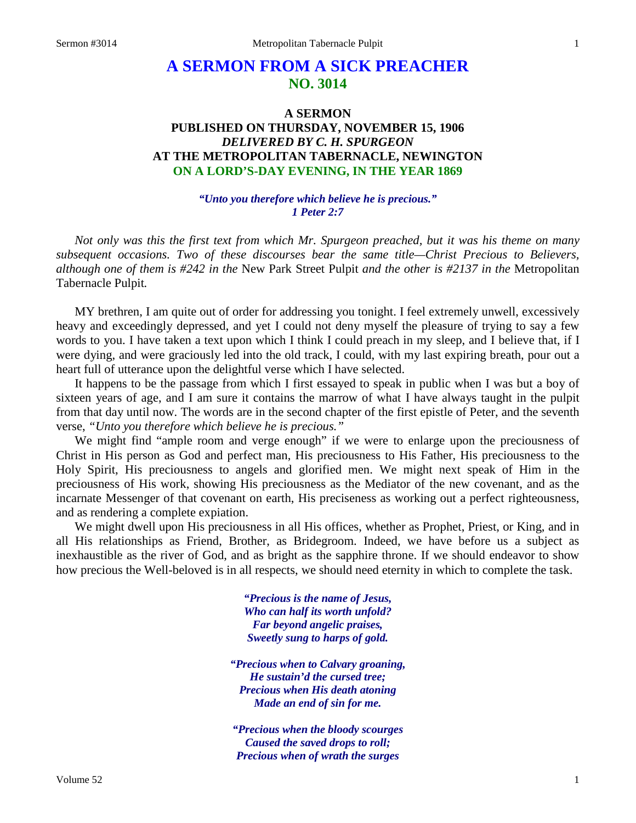# **A SERMON FROM A SICK PREACHER NO. 3014**

# **A SERMON PUBLISHED ON THURSDAY, NOVEMBER 15, 1906** *DELIVERED BY C. H. SPURGEON* **AT THE METROPOLITAN TABERNACLE, NEWINGTON ON A LORD'S-DAY EVENING, IN THE YEAR 1869**

### *"Unto you therefore which believe he is precious." 1 Peter 2:7*

*Not only was this the first text from which Mr. Spurgeon preached, but it was his theme on many subsequent occasions. Two of these discourses bear the same title—Christ Precious to Believers, although one of them is #242 in the* New Park Street Pulpit *and the other is #2137 in the* Metropolitan Tabernacle Pulpit*.*

MY brethren, I am quite out of order for addressing you tonight. I feel extremely unwell, excessively heavy and exceedingly depressed, and yet I could not deny myself the pleasure of trying to say a few words to you. I have taken a text upon which I think I could preach in my sleep, and I believe that, if I were dying, and were graciously led into the old track, I could, with my last expiring breath, pour out a heart full of utterance upon the delightful verse which I have selected.

It happens to be the passage from which I first essayed to speak in public when I was but a boy of sixteen years of age, and I am sure it contains the marrow of what I have always taught in the pulpit from that day until now. The words are in the second chapter of the first epistle of Peter, and the seventh verse, *"Unto you therefore which believe he is precious."*

We might find "ample room and verge enough" if we were to enlarge upon the preciousness of Christ in His person as God and perfect man, His preciousness to His Father, His preciousness to the Holy Spirit, His preciousness to angels and glorified men. We might next speak of Him in the preciousness of His work, showing His preciousness as the Mediator of the new covenant, and as the incarnate Messenger of that covenant on earth, His preciseness as working out a perfect righteousness, and as rendering a complete expiation.

We might dwell upon His preciousness in all His offices, whether as Prophet, Priest, or King, and in all His relationships as Friend, Brother, as Bridegroom. Indeed, we have before us a subject as inexhaustible as the river of God, and as bright as the sapphire throne. If we should endeavor to show how precious the Well-beloved is in all respects, we should need eternity in which to complete the task.

> *"Precious is the name of Jesus, Who can half its worth unfold? Far beyond angelic praises, Sweetly sung to harps of gold.*

*"Precious when to Calvary groaning, He sustain'd the cursed tree; Precious when His death atoning Made an end of sin for me.*

*"Precious when the bloody scourges Caused the saved drops to roll; Precious when of wrath the surges*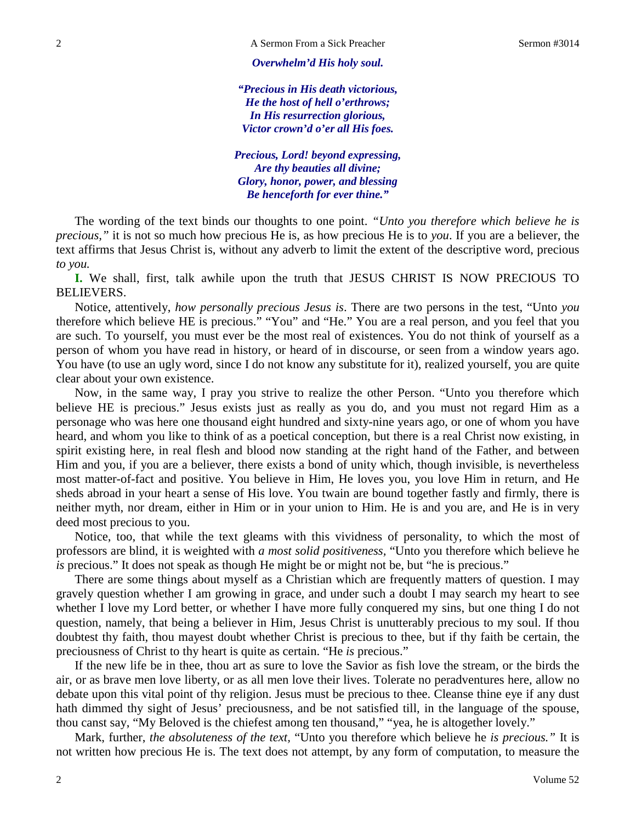#### *Overwhelm'd His holy soul.*

*"Precious in His death victorious, He the host of hell o'erthrows; In His resurrection glorious, Victor crown'd o'er all His foes.*

*Precious, Lord! beyond expressing, Are thy beauties all divine; Glory, honor, power, and blessing Be henceforth for ever thine."*

The wording of the text binds our thoughts to one point. *"Unto you therefore which believe he is precious,"* it is not so much how precious He is, as how precious He is to *you*. If you are a believer, the text affirms that Jesus Christ is, without any adverb to limit the extent of the descriptive word, precious *to you.*

**I.** We shall, first, talk awhile upon the truth that JESUS CHRIST IS NOW PRECIOUS TO BELIEVERS.

Notice, attentively, *how personally precious Jesus is*. There are two persons in the test, "Unto *you* therefore which believe HE is precious." "You" and "He." You are a real person, and you feel that you are such. To yourself, you must ever be the most real of existences. You do not think of yourself as a person of whom you have read in history, or heard of in discourse, or seen from a window years ago. You have (to use an ugly word, since I do not know any substitute for it), realized yourself, you are quite clear about your own existence.

Now, in the same way, I pray you strive to realize the other Person. "Unto you therefore which believe HE is precious." Jesus exists just as really as you do, and you must not regard Him as a personage who was here one thousand eight hundred and sixty-nine years ago, or one of whom you have heard, and whom you like to think of as a poetical conception, but there is a real Christ now existing, in spirit existing here, in real flesh and blood now standing at the right hand of the Father, and between Him and you, if you are a believer, there exists a bond of unity which, though invisible, is nevertheless most matter-of-fact and positive. You believe in Him, He loves you, you love Him in return, and He sheds abroad in your heart a sense of His love. You twain are bound together fastly and firmly, there is neither myth, nor dream, either in Him or in your union to Him. He is and you are, and He is in very deed most precious to you.

Notice, too, that while the text gleams with this vividness of personality, to which the most of professors are blind, it is weighted with *a most solid positiveness,* "Unto you therefore which believe he *is* precious." It does not speak as though He might be or might not be, but "he is precious."

There are some things about myself as a Christian which are frequently matters of question. I may gravely question whether I am growing in grace, and under such a doubt I may search my heart to see whether I love my Lord better, or whether I have more fully conquered my sins, but one thing I do not question, namely, that being a believer in Him, Jesus Christ is unutterably precious to my soul. If thou doubtest thy faith, thou mayest doubt whether Christ is precious to thee, but if thy faith be certain, the preciousness of Christ to thy heart is quite as certain. "He *is* precious."

If the new life be in thee, thou art as sure to love the Savior as fish love the stream, or the birds the air, or as brave men love liberty, or as all men love their lives. Tolerate no peradventures here, allow no debate upon this vital point of thy religion. Jesus must be precious to thee. Cleanse thine eye if any dust hath dimmed thy sight of Jesus' preciousness, and be not satisfied till, in the language of the spouse, thou canst say, "My Beloved is the chiefest among ten thousand," "yea, he is altogether lovely."

Mark, further, *the absoluteness of the text,* "Unto you therefore which believe he *is precious."* It is not written how precious He is. The text does not attempt, by any form of computation, to measure the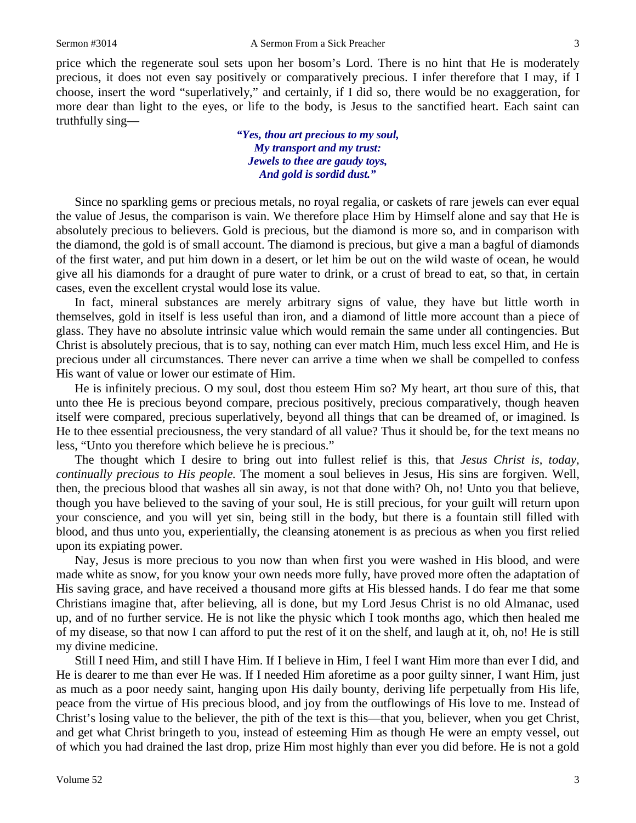price which the regenerate soul sets upon her bosom's Lord. There is no hint that He is moderately precious, it does not even say positively or comparatively precious. I infer therefore that I may, if I choose, insert the word "superlatively," and certainly, if I did so, there would be no exaggeration, for more dear than light to the eyes, or life to the body, is Jesus to the sanctified heart. Each saint can truthfully sing—

> *"Yes, thou art precious to my soul, My transport and my trust: Jewels to thee are gaudy toys, And gold is sordid dust."*

Since no sparkling gems or precious metals, no royal regalia, or caskets of rare jewels can ever equal the value of Jesus, the comparison is vain. We therefore place Him by Himself alone and say that He is absolutely precious to believers. Gold is precious, but the diamond is more so, and in comparison with the diamond, the gold is of small account. The diamond is precious, but give a man a bagful of diamonds of the first water, and put him down in a desert, or let him be out on the wild waste of ocean, he would give all his diamonds for a draught of pure water to drink, or a crust of bread to eat, so that, in certain cases, even the excellent crystal would lose its value.

In fact, mineral substances are merely arbitrary signs of value, they have but little worth in themselves, gold in itself is less useful than iron, and a diamond of little more account than a piece of glass. They have no absolute intrinsic value which would remain the same under all contingencies. But Christ is absolutely precious, that is to say, nothing can ever match Him, much less excel Him, and He is precious under all circumstances. There never can arrive a time when we shall be compelled to confess His want of value or lower our estimate of Him.

He is infinitely precious. O my soul, dost thou esteem Him so? My heart, art thou sure of this, that unto thee He is precious beyond compare, precious positively, precious comparatively, though heaven itself were compared, precious superlatively, beyond all things that can be dreamed of, or imagined. Is He to thee essential preciousness, the very standard of all value? Thus it should be, for the text means no less, "Unto you therefore which believe he is precious."

The thought which I desire to bring out into fullest relief is this, that *Jesus Christ is, today, continually precious to His people.* The moment a soul believes in Jesus, His sins are forgiven. Well, then, the precious blood that washes all sin away, is not that done with? Oh, no! Unto you that believe, though you have believed to the saving of your soul, He is still precious, for your guilt will return upon your conscience, and you will yet sin, being still in the body, but there is a fountain still filled with blood, and thus unto you, experientially, the cleansing atonement is as precious as when you first relied upon its expiating power.

Nay, Jesus is more precious to you now than when first you were washed in His blood, and were made white as snow, for you know your own needs more fully, have proved more often the adaptation of His saving grace, and have received a thousand more gifts at His blessed hands. I do fear me that some Christians imagine that, after believing, all is done, but my Lord Jesus Christ is no old Almanac, used up, and of no further service. He is not like the physic which I took months ago, which then healed me of my disease, so that now I can afford to put the rest of it on the shelf, and laugh at it, oh, no! He is still my divine medicine.

Still I need Him, and still I have Him. If I believe in Him, I feel I want Him more than ever I did, and He is dearer to me than ever He was. If I needed Him aforetime as a poor guilty sinner, I want Him, just as much as a poor needy saint, hanging upon His daily bounty, deriving life perpetually from His life, peace from the virtue of His precious blood, and joy from the outflowings of His love to me. Instead of Christ's losing value to the believer, the pith of the text is this—that you, believer, when you get Christ, and get what Christ bringeth to you, instead of esteeming Him as though He were an empty vessel, out of which you had drained the last drop, prize Him most highly than ever you did before. He is not a gold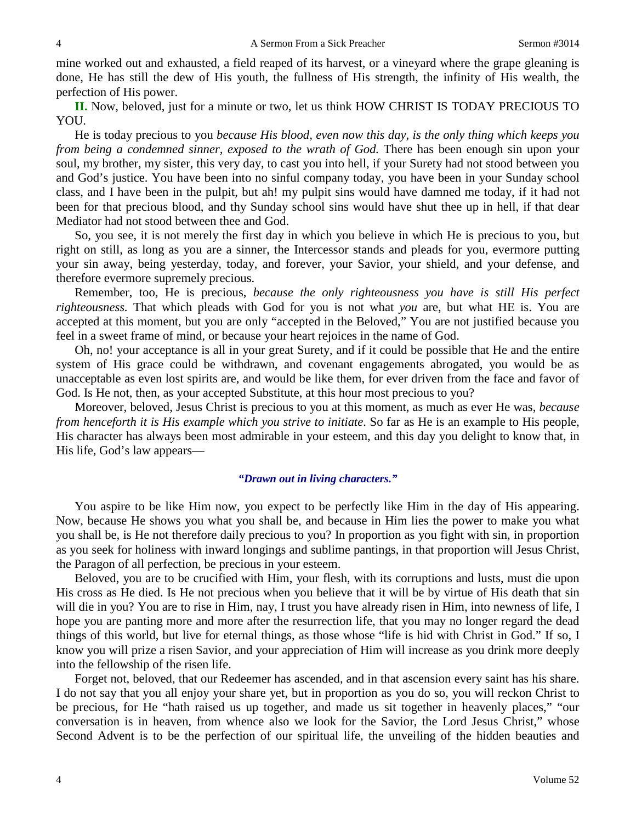mine worked out and exhausted, a field reaped of its harvest, or a vineyard where the grape gleaning is done, He has still the dew of His youth, the fullness of His strength, the infinity of His wealth, the perfection of His power.

**II.** Now, beloved, just for a minute or two, let us think HOW CHRIST IS TODAY PRECIOUS TO YOU.

He is today precious to you *because His blood, even now this day, is the only thing which keeps you from being a condemned sinner, exposed to the wrath of God.* There has been enough sin upon your soul, my brother, my sister, this very day, to cast you into hell, if your Surety had not stood between you and God's justice. You have been into no sinful company today, you have been in your Sunday school class, and I have been in the pulpit, but ah! my pulpit sins would have damned me today, if it had not been for that precious blood, and thy Sunday school sins would have shut thee up in hell, if that dear Mediator had not stood between thee and God.

So, you see, it is not merely the first day in which you believe in which He is precious to you, but right on still, as long as you are a sinner, the Intercessor stands and pleads for you, evermore putting your sin away, being yesterday, today, and forever, your Savior, your shield, and your defense, and therefore evermore supremely precious.

Remember, too, He is precious, *because the only righteousness you have is still His perfect righteousness.* That which pleads with God for you is not what *you* are, but what HE is. You are accepted at this moment, but you are only "accepted in the Beloved," You are not justified because you feel in a sweet frame of mind, or because your heart rejoices in the name of God.

Oh, no! your acceptance is all in your great Surety, and if it could be possible that He and the entire system of His grace could be withdrawn, and covenant engagements abrogated, you would be as unacceptable as even lost spirits are, and would be like them, for ever driven from the face and favor of God. Is He not, then, as your accepted Substitute, at this hour most precious to you?

Moreover, beloved, Jesus Christ is precious to you at this moment, as much as ever He was, *because from henceforth it is His example which you strive to initiate*. So far as He is an example to His people, His character has always been most admirable in your esteem, and this day you delight to know that, in His life, God's law appears—

### *"Drawn out in living characters."*

You aspire to be like Him now, you expect to be perfectly like Him in the day of His appearing. Now, because He shows you what you shall be, and because in Him lies the power to make you what you shall be, is He not therefore daily precious to you? In proportion as you fight with sin, in proportion as you seek for holiness with inward longings and sublime pantings, in that proportion will Jesus Christ, the Paragon of all perfection, be precious in your esteem.

Beloved, you are to be crucified with Him, your flesh, with its corruptions and lusts, must die upon His cross as He died. Is He not precious when you believe that it will be by virtue of His death that sin will die in you? You are to rise in Him, nay, I trust you have already risen in Him, into newness of life, I hope you are panting more and more after the resurrection life, that you may no longer regard the dead things of this world, but live for eternal things, as those whose "life is hid with Christ in God." If so, I know you will prize a risen Savior, and your appreciation of Him will increase as you drink more deeply into the fellowship of the risen life.

Forget not, beloved, that our Redeemer has ascended, and in that ascension every saint has his share. I do not say that you all enjoy your share yet, but in proportion as you do so, you will reckon Christ to be precious, for He "hath raised us up together, and made us sit together in heavenly places," "our conversation is in heaven, from whence also we look for the Savior, the Lord Jesus Christ," whose Second Advent is to be the perfection of our spiritual life, the unveiling of the hidden beauties and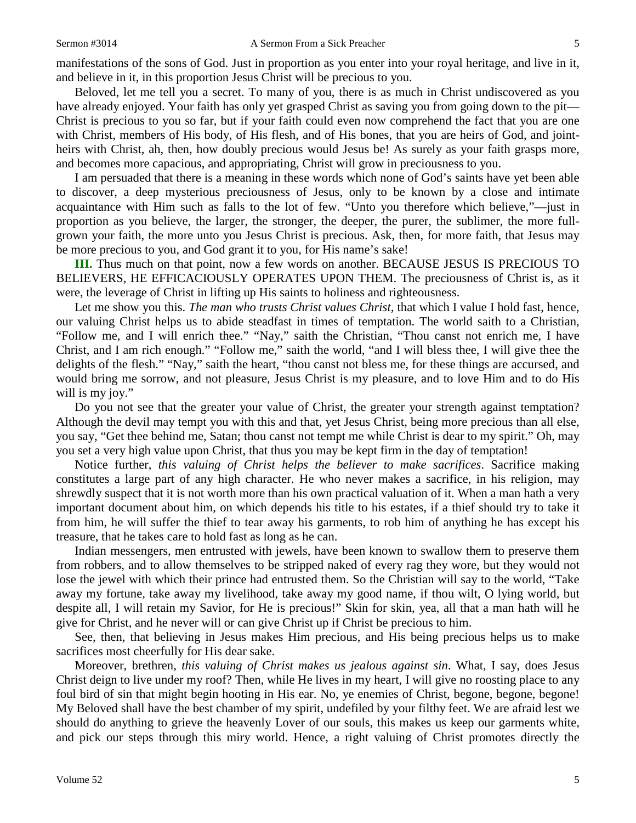Beloved, let me tell you a secret. To many of you, there is as much in Christ undiscovered as you have already enjoyed. Your faith has only yet grasped Christ as saving you from going down to the pit— Christ is precious to you so far, but if your faith could even now comprehend the fact that you are one with Christ, members of His body, of His flesh, and of His bones, that you are heirs of God, and jointheirs with Christ, ah, then, how doubly precious would Jesus be! As surely as your faith grasps more, and becomes more capacious, and appropriating, Christ will grow in preciousness to you.

I am persuaded that there is a meaning in these words which none of God's saints have yet been able to discover, a deep mysterious preciousness of Jesus, only to be known by a close and intimate acquaintance with Him such as falls to the lot of few. "Unto you therefore which believe,"—just in proportion as you believe, the larger, the stronger, the deeper, the purer, the sublimer, the more fullgrown your faith, the more unto you Jesus Christ is precious. Ask, then, for more faith, that Jesus may be more precious to you, and God grant it to you, for His name's sake!

**III.** Thus much on that point, now a few words on another. BECAUSE JESUS IS PRECIOUS TO BELIEVERS, HE EFFICACIOUSLY OPERATES UPON THEM. The preciousness of Christ is, as it were, the leverage of Christ in lifting up His saints to holiness and righteousness.

Let me show you this. *The man who trusts Christ values Christ,* that which I value I hold fast, hence, our valuing Christ helps us to abide steadfast in times of temptation. The world saith to a Christian, "Follow me, and I will enrich thee." "Nay," saith the Christian, "Thou canst not enrich me, I have Christ, and I am rich enough." "Follow me," saith the world, "and I will bless thee, I will give thee the delights of the flesh." "Nay," saith the heart, "thou canst not bless me, for these things are accursed, and would bring me sorrow, and not pleasure, Jesus Christ is my pleasure, and to love Him and to do His will is my joy."

Do you not see that the greater your value of Christ, the greater your strength against temptation? Although the devil may tempt you with this and that, yet Jesus Christ, being more precious than all else, you say, "Get thee behind me, Satan; thou canst not tempt me while Christ is dear to my spirit." Oh, may you set a very high value upon Christ, that thus you may be kept firm in the day of temptation!

Notice further, *this valuing of Christ helps the believer to make sacrifices*. Sacrifice making constitutes a large part of any high character. He who never makes a sacrifice, in his religion, may shrewdly suspect that it is not worth more than his own practical valuation of it. When a man hath a very important document about him, on which depends his title to his estates, if a thief should try to take it from him, he will suffer the thief to tear away his garments, to rob him of anything he has except his treasure, that he takes care to hold fast as long as he can.

Indian messengers, men entrusted with jewels, have been known to swallow them to preserve them from robbers, and to allow themselves to be stripped naked of every rag they wore, but they would not lose the jewel with which their prince had entrusted them. So the Christian will say to the world, "Take away my fortune, take away my livelihood, take away my good name, if thou wilt, O lying world, but despite all, I will retain my Savior, for He is precious!" Skin for skin, yea, all that a man hath will he give for Christ, and he never will or can give Christ up if Christ be precious to him.

See, then, that believing in Jesus makes Him precious, and His being precious helps us to make sacrifices most cheerfully for His dear sake.

Moreover, brethren, *this valuing of Christ makes us jealous against sin*. What, I say, does Jesus Christ deign to live under my roof? Then, while He lives in my heart, I will give no roosting place to any foul bird of sin that might begin hooting in His ear. No, ye enemies of Christ, begone, begone, begone! My Beloved shall have the best chamber of my spirit, undefiled by your filthy feet. We are afraid lest we should do anything to grieve the heavenly Lover of our souls, this makes us keep our garments white, and pick our steps through this miry world. Hence, a right valuing of Christ promotes directly the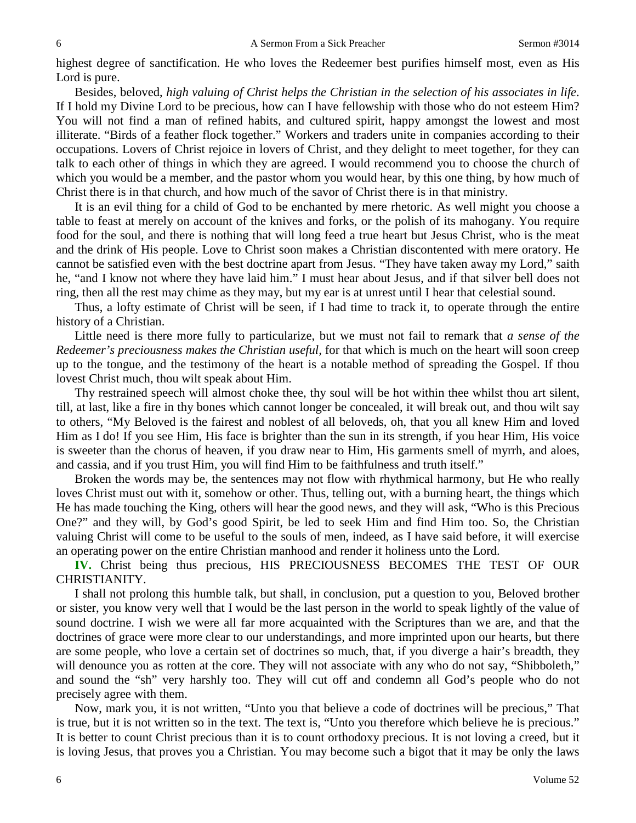highest degree of sanctification. He who loves the Redeemer best purifies himself most, even as His Lord is pure.

Besides, beloved, *high valuing of Christ helps the Christian in the selection of his associates in life*. If I hold my Divine Lord to be precious, how can I have fellowship with those who do not esteem Him? You will not find a man of refined habits, and cultured spirit, happy amongst the lowest and most illiterate. "Birds of a feather flock together." Workers and traders unite in companies according to their occupations. Lovers of Christ rejoice in lovers of Christ, and they delight to meet together, for they can talk to each other of things in which they are agreed. I would recommend you to choose the church of which you would be a member, and the pastor whom you would hear, by this one thing, by how much of Christ there is in that church, and how much of the savor of Christ there is in that ministry.

It is an evil thing for a child of God to be enchanted by mere rhetoric. As well might you choose a table to feast at merely on account of the knives and forks, or the polish of its mahogany. You require food for the soul, and there is nothing that will long feed a true heart but Jesus Christ, who is the meat and the drink of His people. Love to Christ soon makes a Christian discontented with mere oratory. He cannot be satisfied even with the best doctrine apart from Jesus. "They have taken away my Lord," saith he, "and I know not where they have laid him." I must hear about Jesus, and if that silver bell does not ring, then all the rest may chime as they may, but my ear is at unrest until I hear that celestial sound.

Thus, a lofty estimate of Christ will be seen, if I had time to track it, to operate through the entire history of a Christian.

Little need is there more fully to particularize, but we must not fail to remark that *a sense of the Redeemer's preciousness makes the Christian useful,* for that which is much on the heart will soon creep up to the tongue, and the testimony of the heart is a notable method of spreading the Gospel. If thou lovest Christ much, thou wilt speak about Him.

Thy restrained speech will almost choke thee, thy soul will be hot within thee whilst thou art silent, till, at last, like a fire in thy bones which cannot longer be concealed, it will break out, and thou wilt say to others, "My Beloved is the fairest and noblest of all beloveds, oh, that you all knew Him and loved Him as I do! If you see Him, His face is brighter than the sun in its strength, if you hear Him, His voice is sweeter than the chorus of heaven, if you draw near to Him, His garments smell of myrrh, and aloes, and cassia, and if you trust Him, you will find Him to be faithfulness and truth itself."

Broken the words may be, the sentences may not flow with rhythmical harmony, but He who really loves Christ must out with it, somehow or other. Thus, telling out, with a burning heart, the things which He has made touching the King, others will hear the good news, and they will ask, "Who is this Precious One?" and they will, by God's good Spirit, be led to seek Him and find Him too. So, the Christian valuing Christ will come to be useful to the souls of men, indeed, as I have said before, it will exercise an operating power on the entire Christian manhood and render it holiness unto the Lord.

**IV.** Christ being thus precious, HIS PRECIOUSNESS BECOMES THE TEST OF OUR CHRISTIANITY.

I shall not prolong this humble talk, but shall, in conclusion, put a question to you, Beloved brother or sister, you know very well that I would be the last person in the world to speak lightly of the value of sound doctrine. I wish we were all far more acquainted with the Scriptures than we are, and that the doctrines of grace were more clear to our understandings, and more imprinted upon our hearts, but there are some people, who love a certain set of doctrines so much, that, if you diverge a hair's breadth, they will denounce you as rotten at the core. They will not associate with any who do not say, "Shibboleth," and sound the "sh" very harshly too. They will cut off and condemn all God's people who do not precisely agree with them.

Now, mark you, it is not written, "Unto you that believe a code of doctrines will be precious," That is true, but it is not written so in the text. The text is, "Unto you therefore which believe he is precious." It is better to count Christ precious than it is to count orthodoxy precious. It is not loving a creed, but it is loving Jesus, that proves you a Christian. You may become such a bigot that it may be only the laws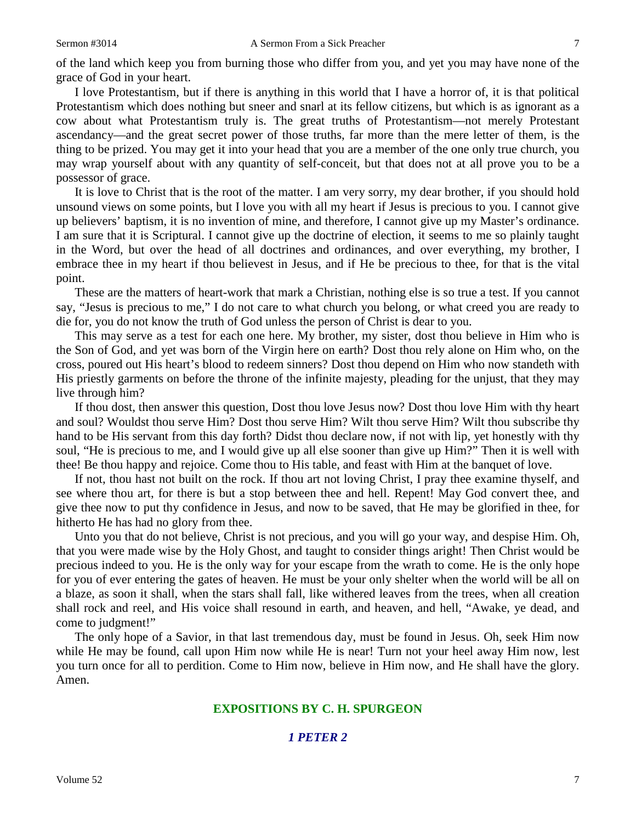of the land which keep you from burning those who differ from you, and yet you may have none of the grace of God in your heart.

I love Protestantism, but if there is anything in this world that I have a horror of, it is that political Protestantism which does nothing but sneer and snarl at its fellow citizens, but which is as ignorant as a cow about what Protestantism truly is. The great truths of Protestantism—not merely Protestant ascendancy—and the great secret power of those truths, far more than the mere letter of them, is the thing to be prized. You may get it into your head that you are a member of the one only true church, you may wrap yourself about with any quantity of self-conceit, but that does not at all prove you to be a possessor of grace.

It is love to Christ that is the root of the matter. I am very sorry, my dear brother, if you should hold unsound views on some points, but I love you with all my heart if Jesus is precious to you. I cannot give up believers' baptism, it is no invention of mine, and therefore, I cannot give up my Master's ordinance. I am sure that it is Scriptural. I cannot give up the doctrine of election, it seems to me so plainly taught in the Word, but over the head of all doctrines and ordinances, and over everything, my brother, I embrace thee in my heart if thou believest in Jesus, and if He be precious to thee, for that is the vital point.

These are the matters of heart-work that mark a Christian, nothing else is so true a test. If you cannot say, "Jesus is precious to me," I do not care to what church you belong, or what creed you are ready to die for, you do not know the truth of God unless the person of Christ is dear to you.

This may serve as a test for each one here. My brother, my sister, dost thou believe in Him who is the Son of God, and yet was born of the Virgin here on earth? Dost thou rely alone on Him who, on the cross, poured out His heart's blood to redeem sinners? Dost thou depend on Him who now standeth with His priestly garments on before the throne of the infinite majesty, pleading for the unjust, that they may live through him?

If thou dost, then answer this question, Dost thou love Jesus now? Dost thou love Him with thy heart and soul? Wouldst thou serve Him? Dost thou serve Him? Wilt thou serve Him? Wilt thou subscribe thy hand to be His servant from this day forth? Didst thou declare now, if not with lip, yet honestly with thy soul, "He is precious to me, and I would give up all else sooner than give up Him?" Then it is well with thee! Be thou happy and rejoice. Come thou to His table, and feast with Him at the banquet of love.

If not, thou hast not built on the rock. If thou art not loving Christ, I pray thee examine thyself, and see where thou art, for there is but a stop between thee and hell. Repent! May God convert thee, and give thee now to put thy confidence in Jesus, and now to be saved, that He may be glorified in thee, for hitherto He has had no glory from thee.

Unto you that do not believe, Christ is not precious, and you will go your way, and despise Him. Oh, that you were made wise by the Holy Ghost, and taught to consider things aright! Then Christ would be precious indeed to you. He is the only way for your escape from the wrath to come. He is the only hope for you of ever entering the gates of heaven. He must be your only shelter when the world will be all on a blaze, as soon it shall, when the stars shall fall, like withered leaves from the trees, when all creation shall rock and reel, and His voice shall resound in earth, and heaven, and hell, "Awake, ye dead, and come to judgment!"

The only hope of a Savior, in that last tremendous day, must be found in Jesus. Oh, seek Him now while He may be found, call upon Him now while He is near! Turn not your heel away Him now, lest you turn once for all to perdition. Come to Him now, believe in Him now, and He shall have the glory. Amen.

## **EXPOSITIONS BY C. H. SPURGEON**

# *1 PETER 2*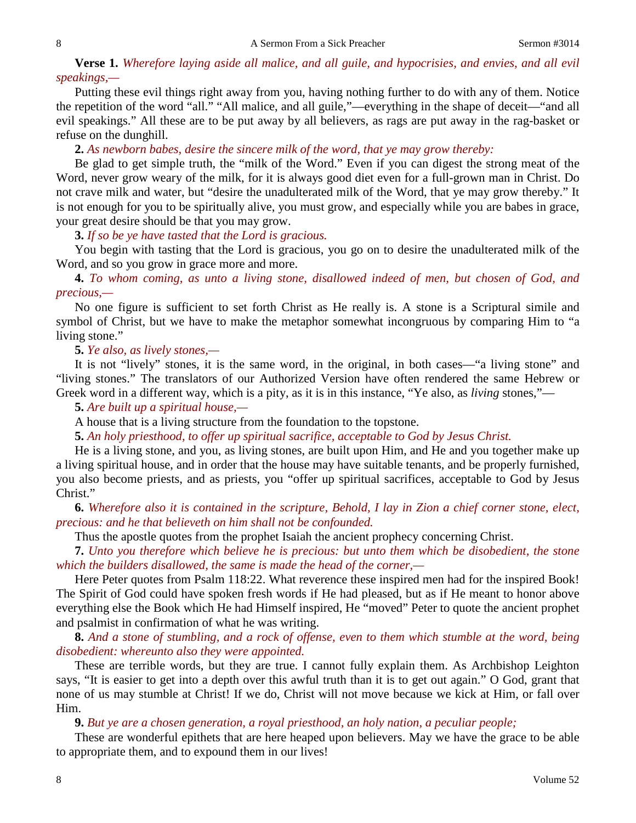**Verse 1.** *Wherefore laying aside all malice, and all guile, and hypocrisies, and envies, and all evil speakings,—*

Putting these evil things right away from you, having nothing further to do with any of them. Notice the repetition of the word "all." "All malice, and all guile,"—everything in the shape of deceit—"and all evil speakings." All these are to be put away by all believers, as rags are put away in the rag-basket or refuse on the dunghill.

**2.** *As newborn babes, desire the sincere milk of the word, that ye may grow thereby:*

Be glad to get simple truth, the "milk of the Word." Even if you can digest the strong meat of the Word, never grow weary of the milk, for it is always good diet even for a full-grown man in Christ. Do not crave milk and water, but "desire the unadulterated milk of the Word, that ye may grow thereby." It is not enough for you to be spiritually alive, you must grow, and especially while you are babes in grace, your great desire should be that you may grow.

**3.** *If so be ye have tasted that the Lord is gracious.*

You begin with tasting that the Lord is gracious, you go on to desire the unadulterated milk of the Word, and so you grow in grace more and more.

**4.** *To whom coming, as unto a living stone, disallowed indeed of men, but chosen of God, and precious,—*

No one figure is sufficient to set forth Christ as He really is. A stone is a Scriptural simile and symbol of Christ, but we have to make the metaphor somewhat incongruous by comparing Him to "a living stone."

**5.** *Ye also, as lively stones,—*

It is not "lively" stones, it is the same word, in the original, in both cases—"a living stone" and "living stones." The translators of our Authorized Version have often rendered the same Hebrew or Greek word in a different way, which is a pity, as it is in this instance, "Ye also, as *living* stones,"—

**5.** *Are built up a spiritual house,—*

A house that is a living structure from the foundation to the topstone.

**5.** *An holy priesthood, to offer up spiritual sacrifice, acceptable to God by Jesus Christ.*

He is a living stone, and you, as living stones, are built upon Him, and He and you together make up a living spiritual house, and in order that the house may have suitable tenants, and be properly furnished, you also become priests, and as priests, you "offer up spiritual sacrifices, acceptable to God by Jesus Christ."

**6.** *Wherefore also it is contained in the scripture, Behold, I lay in Zion a chief corner stone, elect, precious: and he that believeth on him shall not be confounded.*

Thus the apostle quotes from the prophet Isaiah the ancient prophecy concerning Christ.

**7.** *Unto you therefore which believe he is precious: but unto them which be disobedient, the stone which the builders disallowed, the same is made the head of the corner,—*

Here Peter quotes from Psalm 118:22. What reverence these inspired men had for the inspired Book! The Spirit of God could have spoken fresh words if He had pleased, but as if He meant to honor above everything else the Book which He had Himself inspired, He "moved" Peter to quote the ancient prophet and psalmist in confirmation of what he was writing.

**8.** *And a stone of stumbling, and a rock of offense, even to them which stumble at the word, being disobedient: whereunto also they were appointed.*

These are terrible words, but they are true. I cannot fully explain them. As Archbishop Leighton says, "It is easier to get into a depth over this awful truth than it is to get out again." O God, grant that none of us may stumble at Christ! If we do, Christ will not move because we kick at Him, or fall over Him.

**9.** *But ye are a chosen generation, a royal priesthood, an holy nation, a peculiar people;*

These are wonderful epithets that are here heaped upon believers. May we have the grace to be able to appropriate them, and to expound them in our lives!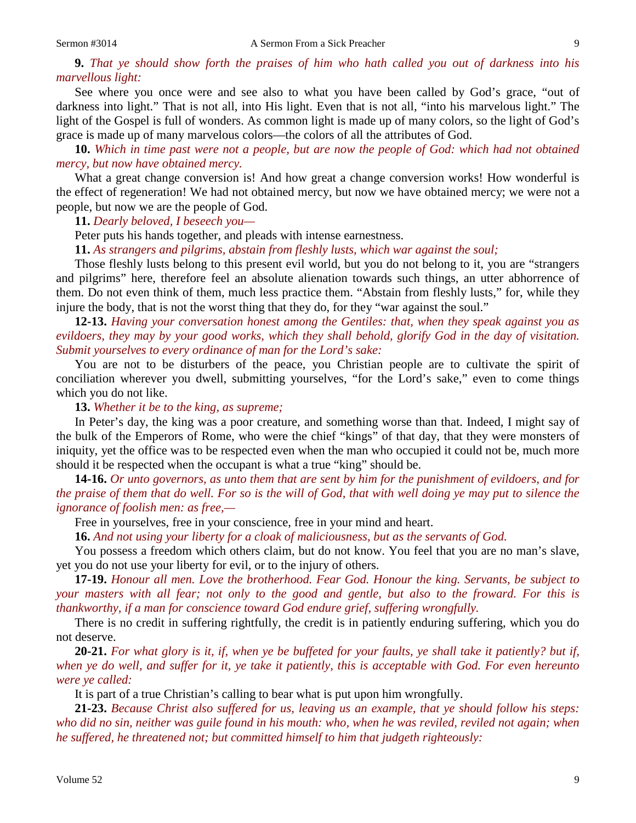**9.** *That ye should show forth the praises of him who hath called you out of darkness into his marvellous light:*

See where you once were and see also to what you have been called by God's grace, "out of darkness into light." That is not all, into His light. Even that is not all, "into his marvelous light." The light of the Gospel is full of wonders. As common light is made up of many colors, so the light of God's grace is made up of many marvelous colors—the colors of all the attributes of God.

**10.** *Which in time past were not a people, but are now the people of God: which had not obtained mercy, but now have obtained mercy.*

What a great change conversion is! And how great a change conversion works! How wonderful is the effect of regeneration! We had not obtained mercy, but now we have obtained mercy; we were not a people, but now we are the people of God.

**11.** *Dearly beloved, I beseech you—*

Peter puts his hands together, and pleads with intense earnestness.

**11.** *As strangers and pilgrims, abstain from fleshly lusts, which war against the soul;*

Those fleshly lusts belong to this present evil world, but you do not belong to it, you are "strangers and pilgrims" here, therefore feel an absolute alienation towards such things, an utter abhorrence of them. Do not even think of them, much less practice them. "Abstain from fleshly lusts," for, while they injure the body, that is not the worst thing that they do, for they "war against the soul."

**12-13.** *Having your conversation honest among the Gentiles: that, when they speak against you as evildoers, they may by your good works, which they shall behold, glorify God in the day of visitation. Submit yourselves to every ordinance of man for the Lord's sake:*

You are not to be disturbers of the peace, you Christian people are to cultivate the spirit of conciliation wherever you dwell, submitting yourselves, "for the Lord's sake," even to come things which you do not like.

**13.** *Whether it be to the king, as supreme;*

In Peter's day, the king was a poor creature, and something worse than that. Indeed, I might say of the bulk of the Emperors of Rome, who were the chief "kings" of that day, that they were monsters of iniquity, yet the office was to be respected even when the man who occupied it could not be, much more should it be respected when the occupant is what a true "king" should be.

**14-16.** *Or unto governors, as unto them that are sent by him for the punishment of evildoers, and for the praise of them that do well. For so is the will of God, that with well doing ye may put to silence the ignorance of foolish men: as free,—*

Free in yourselves, free in your conscience, free in your mind and heart.

**16.** *And not using your liberty for a cloak of maliciousness, but as the servants of God.*

You possess a freedom which others claim, but do not know. You feel that you are no man's slave, yet you do not use your liberty for evil, or to the injury of others.

**17-19.** *Honour all men. Love the brotherhood. Fear God. Honour the king. Servants, be subject to your masters with all fear; not only to the good and gentle, but also to the froward. For this is thankworthy, if a man for conscience toward God endure grief, suffering wrongfully.*

There is no credit in suffering rightfully, the credit is in patiently enduring suffering, which you do not deserve.

**20-21.** *For what glory is it, if, when ye be buffeted for your faults, ye shall take it patiently? but if, when ye do well, and suffer for it, ye take it patiently, this is acceptable with God. For even hereunto were ye called:*

It is part of a true Christian's calling to bear what is put upon him wrongfully.

**21-23.** *Because Christ also suffered for us, leaving us an example, that ye should follow his steps: who did no sin, neither was guile found in his mouth: who, when he was reviled, reviled not again; when he suffered, he threatened not; but committed himself to him that judgeth righteously:*